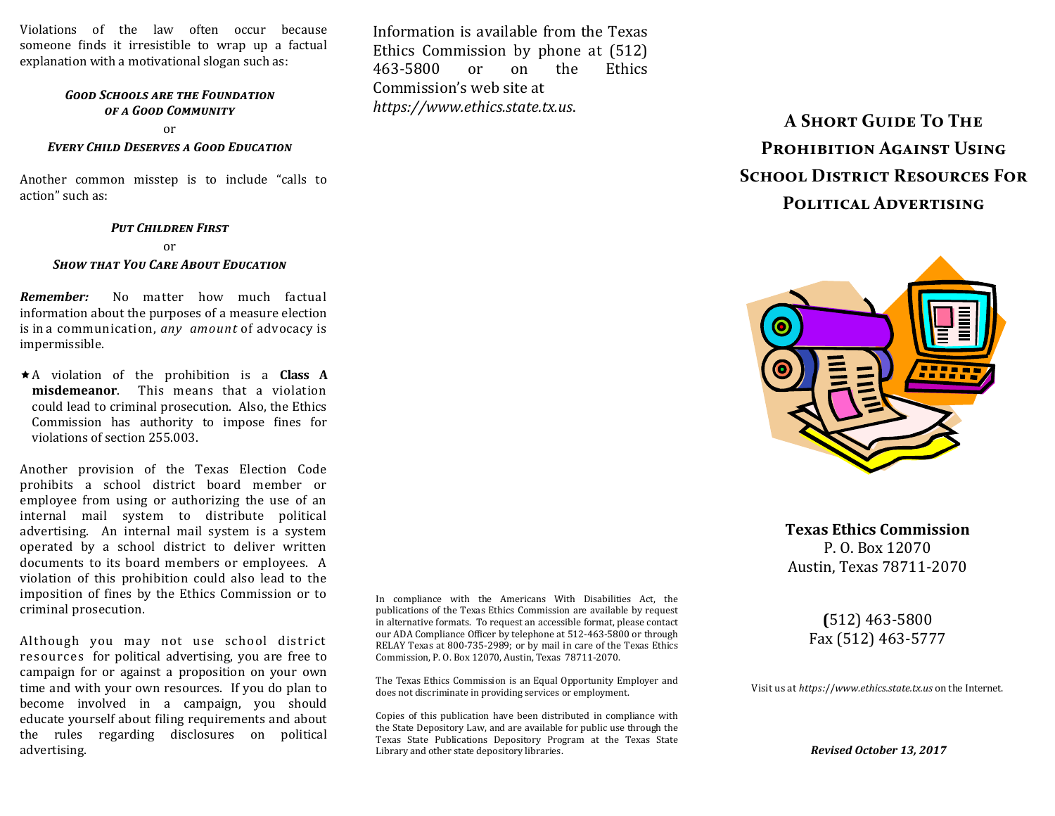Violations of the law often occur because someone finds it irresistible to wrap up a factual explanation with a motivational slogan such as:

### *Good Schools are the Foundation of a Good Community*

or

#### *Every Child Deserves a Good Education*

Another common misstep is to include "calls to action" such as:

#### *Put Children First*

or

#### *Show that You Care About Education*

*Remember:* No matter how much factual information about the purposes of a measure election is in a communication, *any amount* of advocacy is impermissible.

A violation of the prohibition is a **Class A misdemeanor**. This means that a violation could lead to criminal prosecution. Also, the Ethics Commission has authority to impose fines for violations of section 255.003.

Another provision of the Texas Election Code prohibits a school district board member or employee from using or authorizing the use of an internal mail system to distribute political advertising. An internal mail system is a system operated by a school district to deliver written documents to its board members or employees. A violation of this prohibition could also lead to the imposition of fines by the Ethics Commission or to criminal prosecution.

Although you may not use school district resources for political advertising, you are free to campaign for or against a proposition on your own time and with your own resources. If you do plan to become involved in a campaign, you should educate yourself about filing requirements and about the rules regarding disclosures on political advertising.

In compliance with the Americans With Disabilities Act, the publications of the Texas Ethics Commission are available by request in alternative formats. To request an accessible format, please contact our ADA Compliance Officer by telephone at 512-463-5800 or through RELAY Texas at 800-735-2989; or by mail in care of the Texas Ethics Commission, P. O. Box 12070, Austin, Texas 78711-2070.

Information is available from the Texas Ethics Commission by phone at (512) 463-5800 or on the Ethics

Commission's web site at *https://www.ethics.state.tx.us*.

The Texas Ethics Commission is an Equal Opportunity Employer and does not discriminate in providing services or employment.

Copies of this publication have been distributed in compliance with the State Depository Law, and are available for public use through the Texas State Publications Depository Program at the Texas State Library and other state depository libraries.

**A Short Guide To The Prohibition Against Using SCHOOL DISTRICT RESOURCES FOR Political Advertising**



**Texas Ethics Commission** P. O. Box 12070 Austin, Texas 78711-2070

## **(**512) 463-5800 Fax (512) 463-5777

Visit us at *https:*//*www.ethics.state.tx.us* on the Internet.

*Revised October 13, 2017*